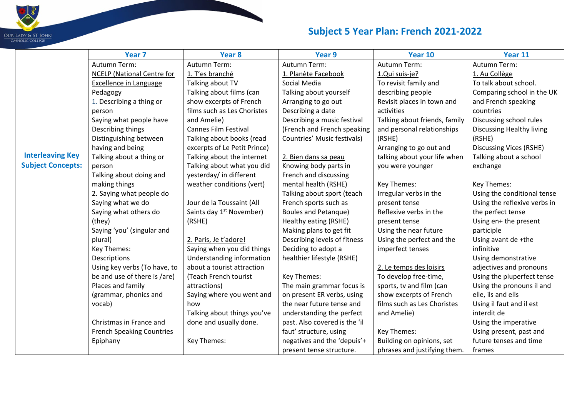|                          | Year <sub>7</sub>                 | Year 8                               | Year 9                        | Year 10                       | Year 11                        |
|--------------------------|-----------------------------------|--------------------------------------|-------------------------------|-------------------------------|--------------------------------|
|                          | Autumn Term:                      | Autumn Term:                         | Autumn Term:                  | Autumn Term:                  | Autumn Term:                   |
|                          | <b>NCELP</b> (National Centre for | 1. T'es branché                      | 1. Planète Facebook           | 1.Qui suis-je?                | 1. Au Collège                  |
|                          | <b>Excellence in Language</b>     | Talking about TV                     | Social Media                  | To revisit family and         | To talk about school.          |
|                          | Pedagogy                          | Talking about films (can             | Talking about yourself        | describing people             | Comparing school in the UK     |
|                          | 1. Describing a thing or          | show excerpts of French              | Arranging to go out           | Revisit places in town and    | and French speaking            |
|                          | person                            | films such as Les Choristes          | Describing a date             | activities                    | countries                      |
|                          | Saying what people have           | and Amelie)                          | Describing a music festival   | Talking about friends, family | Discussing school rules        |
|                          | Describing things                 | <b>Cannes Film Festival</b>          | (French and French speaking   | and personal relationships    | Discussing Healthy living      |
|                          | Distinguishing between            | Talking about books (read            | Countries' Music festivals)   | (RSHE)                        | (RSHE)                         |
|                          | having and being                  | excerpts of Le Petit Prince)         |                               | Arranging to go out and       | <b>Discussing Vices (RSHE)</b> |
| <b>Interleaving Key</b>  | Talking about a thing or          | Talking about the internet           | 2. Bien dans sa peau          | talking about your life when  | Talking about a school         |
| <b>Subject Concepts:</b> | person                            | Talking about what you did           | Knowing body parts in         | you were younger              | exchange                       |
|                          | Talking about doing and           | yesterday/ in different              | French and discussing         |                               |                                |
|                          | making things                     | weather conditions (vert)            | mental health (RSHE)          | Key Themes:                   | Key Themes:                    |
|                          | 2. Saying what people do          |                                      | Talking about sport (teach    | Irregular verbs in the        | Using the conditional tense    |
|                          | Saying what we do                 | Jour de la Toussaint (All            | French sports such as         | present tense                 | Using the reflexive verbs in   |
|                          | Saying what others do             | Saints day 1 <sup>st</sup> November) | <b>Boules and Petanque)</b>   | Reflexive verbs in the        | the perfect tense              |
|                          | (they)                            | (RSHE)                               | Healthy eating (RSHE)         | present tense                 | Using en+ the present          |
|                          | Saying 'you' (singular and        |                                      | Making plans to get fit       | Using the near future         | participle                     |
|                          | plural)                           | 2. Paris, Je t'adore!                | Describing levels of fitness  | Using the perfect and the     | Using avant de +the            |
|                          | Key Themes:                       | Saying when you did things           | Deciding to adopt a           | imperfect tenses              | infinitive                     |
|                          | Descriptions                      | Understanding information            | healthier lifestyle (RSHE)    |                               | Using demonstrative            |
|                          | Using key verbs (To have, to      | about a tourist attraction           |                               | 2. Le temps des loisirs       | adjectives and pronouns        |
|                          | be and use of there is /are)      | (Teach French tourist                | Key Themes:                   | To develop free-time,         | Using the pluperfect tense     |
|                          | Places and family                 | attractions)                         | The main grammar focus is     | sports, tv and film (can      | Using the pronouns il and      |
|                          | (grammar, phonics and             | Saying where you went and            | on present ER verbs, using    | show excerpts of French       | elle, ils and ells             |
|                          | vocab)                            | how                                  | the near future tense and     | films such as Les Choristes   | Using il faut and il est       |
|                          |                                   | Talking about things you've          | understanding the perfect     | and Amelie)                   | interdit de                    |
|                          | Christmas in France and           | done and usually done.               | past. Also covered is the 'il |                               | Using the imperative           |
|                          | <b>French Speaking Countries</b>  |                                      | faut' structure, using        | Key Themes:                   | Using present, past and        |
|                          | Epiphany                          | Key Themes:                          | negatives and the 'depuis'+   | Building on opinions, set     | future tenses and time         |
|                          |                                   |                                      | present tense structure.      | phrases and justifying them.  | frames                         |

 $\blacksquare$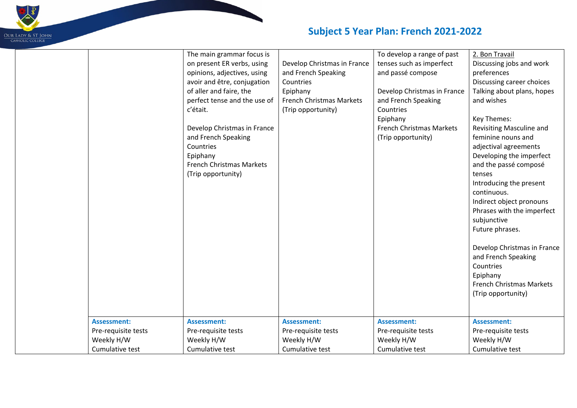

|                     | The main grammar focus is<br>on present ER verbs, using<br>opinions, adjectives, using<br>avoir and être, conjugation<br>of aller and faire, the<br>perfect tense and the use of<br>c'était.<br>Develop Christmas in France<br>and French Speaking<br>Countries<br>Epiphany<br><b>French Christmas Markets</b><br>(Trip opportunity) | Develop Christmas in France<br>and French Speaking<br>Countries<br>Epiphany<br><b>French Christmas Markets</b><br>(Trip opportunity) | To develop a range of past<br>tenses such as imperfect<br>and passé compose<br>Develop Christmas in France<br>and French Speaking<br>Countries<br>Epiphany<br><b>French Christmas Markets</b><br>(Trip opportunity) | 2. Bon Travail<br>Discussing jobs and work<br>preferences<br>Discussing career choices<br>Talking about plans, hopes<br>and wishes<br>Key Themes:<br>Revisiting Masculine and<br>feminine nouns and<br>adjectival agreements<br>Developing the imperfect<br>and the passé composé<br>tenses<br>Introducing the present<br>continuous.<br>Indirect object pronouns<br>Phrases with the imperfect<br>subjunctive<br>Future phrases.<br>Develop Christmas in France<br>and French Speaking<br>Countries<br>Epiphany<br><b>French Christmas Markets</b><br>(Trip opportunity) |
|---------------------|--------------------------------------------------------------------------------------------------------------------------------------------------------------------------------------------------------------------------------------------------------------------------------------------------------------------------------------|--------------------------------------------------------------------------------------------------------------------------------------|---------------------------------------------------------------------------------------------------------------------------------------------------------------------------------------------------------------------|---------------------------------------------------------------------------------------------------------------------------------------------------------------------------------------------------------------------------------------------------------------------------------------------------------------------------------------------------------------------------------------------------------------------------------------------------------------------------------------------------------------------------------------------------------------------------|
| <b>Assessment:</b>  | <b>Assessment:</b>                                                                                                                                                                                                                                                                                                                   | <b>Assessment:</b>                                                                                                                   | <b>Assessment:</b>                                                                                                                                                                                                  | <b>Assessment:</b>                                                                                                                                                                                                                                                                                                                                                                                                                                                                                                                                                        |
| Pre-requisite tests | Pre-requisite tests                                                                                                                                                                                                                                                                                                                  | Pre-requisite tests                                                                                                                  | Pre-requisite tests                                                                                                                                                                                                 | Pre-requisite tests                                                                                                                                                                                                                                                                                                                                                                                                                                                                                                                                                       |
| Weekly H/W          | Weekly H/W                                                                                                                                                                                                                                                                                                                           | Weekly H/W                                                                                                                           | Weekly H/W                                                                                                                                                                                                          | Weekly H/W                                                                                                                                                                                                                                                                                                                                                                                                                                                                                                                                                                |
| Cumulative test     | Cumulative test                                                                                                                                                                                                                                                                                                                      | Cumulative test                                                                                                                      | Cumulative test                                                                                                                                                                                                     | Cumulative test                                                                                                                                                                                                                                                                                                                                                                                                                                                                                                                                                           |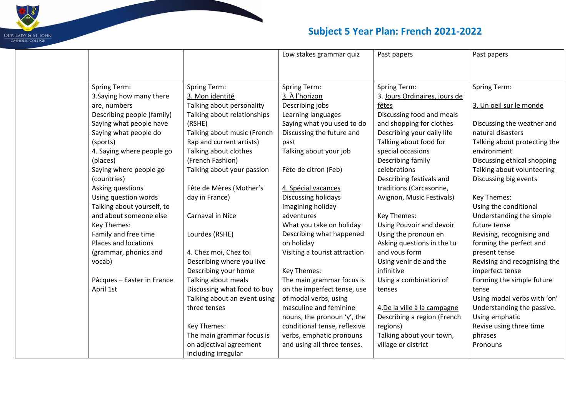

|                            |                              | Low stakes grammar quiz       | Past papers                   | Past papers                  |
|----------------------------|------------------------------|-------------------------------|-------------------------------|------------------------------|
|                            |                              |                               |                               |                              |
| <b>Spring Term:</b>        | Spring Term:                 | <b>Spring Term:</b>           | Spring Term:                  | <b>Spring Term:</b>          |
| 3. Saying how many there   | 3. Mon identité              | 3. À l'horizon                | 3. Jours Ordinaires, jours de |                              |
| are, numbers               | Talking about personality    | Describing jobs               | fêtes                         | 3. Un oeil sur le monde      |
| Describing people (family) | Talking about relationships  | Learning languages            | Discussing food and meals     |                              |
| Saying what people have    | (RSHE)                       | Saying what you used to do    | and shopping for clothes      | Discussing the weather and   |
| Saying what people do      | Talking about music (French  | Discussing the future and     | Describing your daily life    | natural disasters            |
| (sports)                   | Rap and current artists)     | past                          | Talking about food for        | Talking about protecting the |
| 4. Saying where people go  | Talking about clothes        | Talking about your job        | special occasions             | environment                  |
| (places)                   | (French Fashion)             |                               | Describing family             | Discussing ethical shopping  |
| Saying where people go     | Talking about your passion   | Fête de citron (Feb)          | celebrations                  | Talking about volunteering   |
| (countries)                |                              |                               | Describing festivals and      | Discussing big events        |
| Asking questions           | Fête de Mères (Mother's      | 4. Spécial vacances           | traditions (Carcasonne,       |                              |
| Using question words       | day in France)               | Discussing holidays           | Avignon, Music Festivals)     | Key Themes:                  |
| Talking about yourself, to |                              | Imagining holiday             |                               | Using the conditional        |
| and about someone else     | Carnaval in Nice             | adventures                    | Key Themes:                   | Understanding the simple     |
| Key Themes:                |                              | What you take on holiday      | Using Pouvoir and devoir      | future tense                 |
| Family and free time       | Lourdes (RSHE)               | Describing what happened      | Using the pronoun en          | Revising, recognising and    |
| Places and locations       |                              | on holiday                    | Asking questions in the tu    | forming the perfect and      |
| (grammar, phonics and      | 4. Chez moi, Chez toi        | Visiting a tourist attraction | and vous form                 | present tense                |
| vocab)                     | Describing where you live    |                               | Using venir de and the        | Revising and recognising the |
|                            | Describing your home         | Key Themes:                   | infinitive                    | imperfect tense              |
| Pâcques - Easter in France | Talking about meals          | The main grammar focus is     | Using a combination of        | Forming the simple future    |
| April 1st                  | Discussing what food to buy  | on the imperfect tense, use   | tenses                        | tense                        |
|                            | Talking about an event using | of modal verbs, using         |                               | Using modal verbs with 'on'  |
|                            | three tenses                 | masculine and feminine        | 4. De la ville à la campagne  | Understanding the passive.   |
|                            |                              | nouns, the pronoun 'y', the   | Describing a region (French   | Using emphatic               |
|                            | Key Themes:                  | conditional tense, reflexive  | regions)                      | Revise using three time      |
|                            | The main grammar focus is    | verbs, emphatic pronouns      | Talking about your town,      | phrases                      |
|                            | on adjectival agreement      | and using all three tenses.   | village or district           | Pronouns                     |
|                            | including irregular          |                               |                               |                              |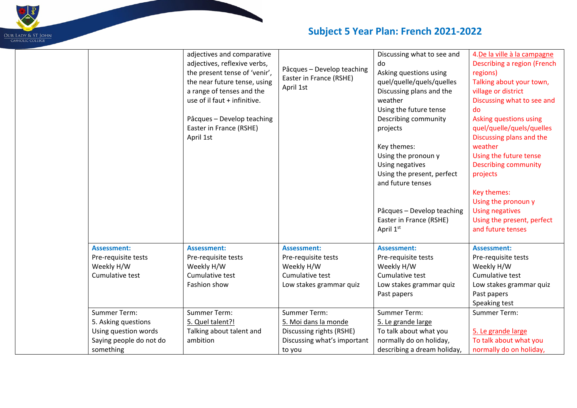

|                                                                                                     | adjectives and comparative<br>adjectives, reflexive verbs,<br>the present tense of 'venir',<br>the near future tense, using<br>a range of tenses and the<br>use of il faut + infinitive.<br>Pâcques - Develop teaching<br>Easter in France (RSHE)<br>April 1st | Pâcques - Develop teaching<br>Easter in France (RSHE)<br>April 1st                                               | Discussing what to see and<br>do<br>Asking questions using<br>quel/quelle/quels/quelles<br>Discussing plans and the<br>weather<br>Using the future tense<br>Describing community<br>projects<br>Key themes:<br>Using the pronoun y<br>Using negatives<br>Using the present, perfect<br>and future tenses | 4.De la ville à la campagne<br>Describing a region (French<br>regions)<br>Talking about your town,<br>village or district<br>Discussing what to see and<br>do<br>Asking questions using<br>quel/quelle/quels/quelles<br>Discussing plans and the<br>weather<br>Using the future tense<br><b>Describing community</b><br>projects<br>Key themes: |
|-----------------------------------------------------------------------------------------------------|----------------------------------------------------------------------------------------------------------------------------------------------------------------------------------------------------------------------------------------------------------------|------------------------------------------------------------------------------------------------------------------|----------------------------------------------------------------------------------------------------------------------------------------------------------------------------------------------------------------------------------------------------------------------------------------------------------|-------------------------------------------------------------------------------------------------------------------------------------------------------------------------------------------------------------------------------------------------------------------------------------------------------------------------------------------------|
|                                                                                                     |                                                                                                                                                                                                                                                                |                                                                                                                  | Pâcques - Develop teaching<br>Easter in France (RSHE)<br>April 1st                                                                                                                                                                                                                                       | Using the pronoun y<br><b>Using negatives</b><br>Using the present, perfect<br>and future tenses                                                                                                                                                                                                                                                |
| <b>Assessment:</b><br>Pre-requisite tests<br>Weekly H/W<br>Cumulative test                          | <b>Assessment:</b><br>Pre-requisite tests<br>Weekly H/W<br>Cumulative test<br>Fashion show                                                                                                                                                                     | <b>Assessment:</b><br>Pre-requisite tests<br>Weekly H/W<br>Cumulative test<br>Low stakes grammar quiz            | <b>Assessment:</b><br>Pre-requisite tests<br>Weekly H/W<br>Cumulative test<br>Low stakes grammar quiz<br>Past papers                                                                                                                                                                                     | <b>Assessment:</b><br>Pre-requisite tests<br>Weekly H/W<br>Cumulative test<br>Low stakes grammar quiz<br>Past papers<br>Speaking test                                                                                                                                                                                                           |
| Summer Term:<br>5. Asking questions<br>Using question words<br>Saying people do not do<br>something | Summer Term:<br>5. Quel talent?!<br>Talking about talent and<br>ambition                                                                                                                                                                                       | <b>Summer Term:</b><br>5. Moi dans la monde<br>Discussing rights (RSHE)<br>Discussing what's important<br>to you | <b>Summer Term:</b><br>5. Le grande large<br>To talk about what you<br>normally do on holiday,<br>describing a dream holiday,                                                                                                                                                                            | <b>Summer Term:</b><br>5. Le grande large<br>To talk about what you<br>normally do on holiday,                                                                                                                                                                                                                                                  |